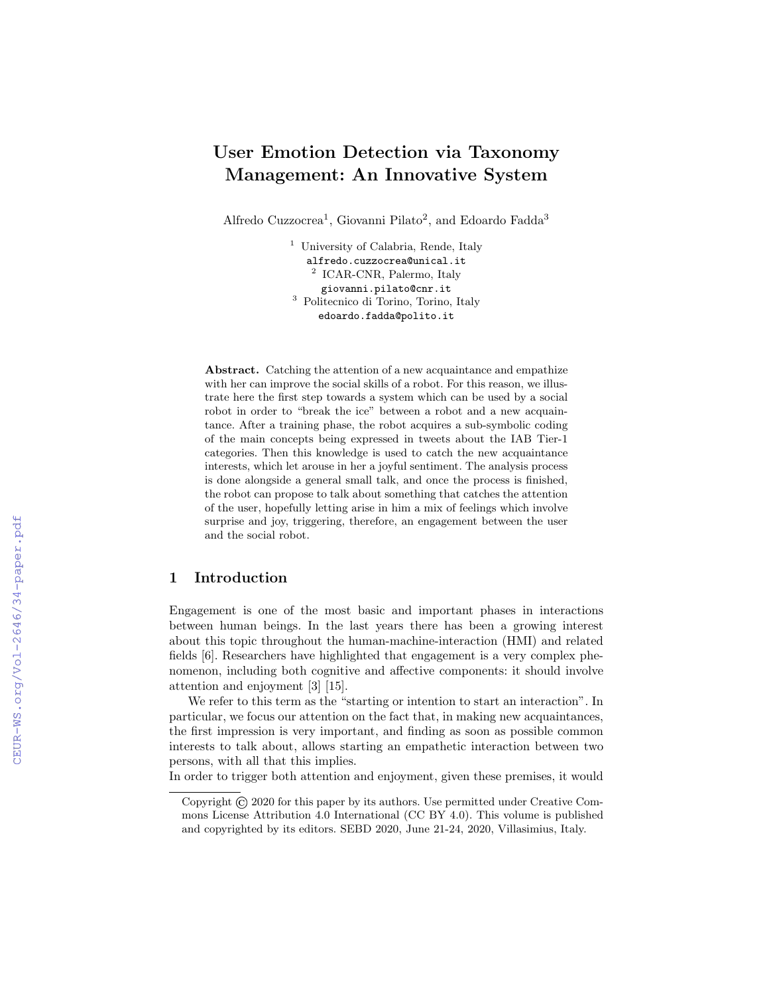# User Emotion Detection via Taxonomy Management: An Innovative System

Alfredo Cuzzocrea<sup>1</sup>, Giovanni Pilato<sup>2</sup>, and Edoardo Fadda<sup>3</sup>

<sup>1</sup> University of Calabria, Rende, Italy alfredo.cuzzocrea@unical.it 2 ICAR-CNR, Palermo, Italy giovanni.pilato@cnr.it <sup>3</sup> Politecnico di Torino, Torino, Italy edoardo.fadda@polito.it

Abstract. Catching the attention of a new acquaintance and empathize with her can improve the social skills of a robot. For this reason, we illustrate here the first step towards a system which can be used by a social robot in order to "break the ice" between a robot and a new acquaintance. After a training phase, the robot acquires a sub-symbolic coding of the main concepts being expressed in tweets about the IAB Tier-1 categories. Then this knowledge is used to catch the new acquaintance interests, which let arouse in her a joyful sentiment. The analysis process is done alongside a general small talk, and once the process is finished, the robot can propose to talk about something that catches the attention of the user, hopefully letting arise in him a mix of feelings which involve surprise and joy, triggering, therefore, an engagement between the user and the social robot.

# 1 Introduction

Engagement is one of the most basic and important phases in interactions between human beings. In the last years there has been a growing interest about this topic throughout the human-machine-interaction (HMI) and related fields [6]. Researchers have highlighted that engagement is a very complex phenomenon, including both cognitive and affective components: it should involve attention and enjoyment [3] [15].

We refer to this term as the "starting or intention to start an interaction". In particular, we focus our attention on the fact that, in making new acquaintances, the first impression is very important, and finding as soon as possible common interests to talk about, allows starting an empathetic interaction between two persons, with all that this implies.

In order to trigger both attention and enjoyment, given these premises, it would

Copyright © 2020 for this paper by its authors. Use permitted under Creative Commons License Attribution 4.0 International (CC BY 4.0). This volume is published and copyrighted by its editors. SEBD 2020, June 21-24, 2020, Villasimius, Italy.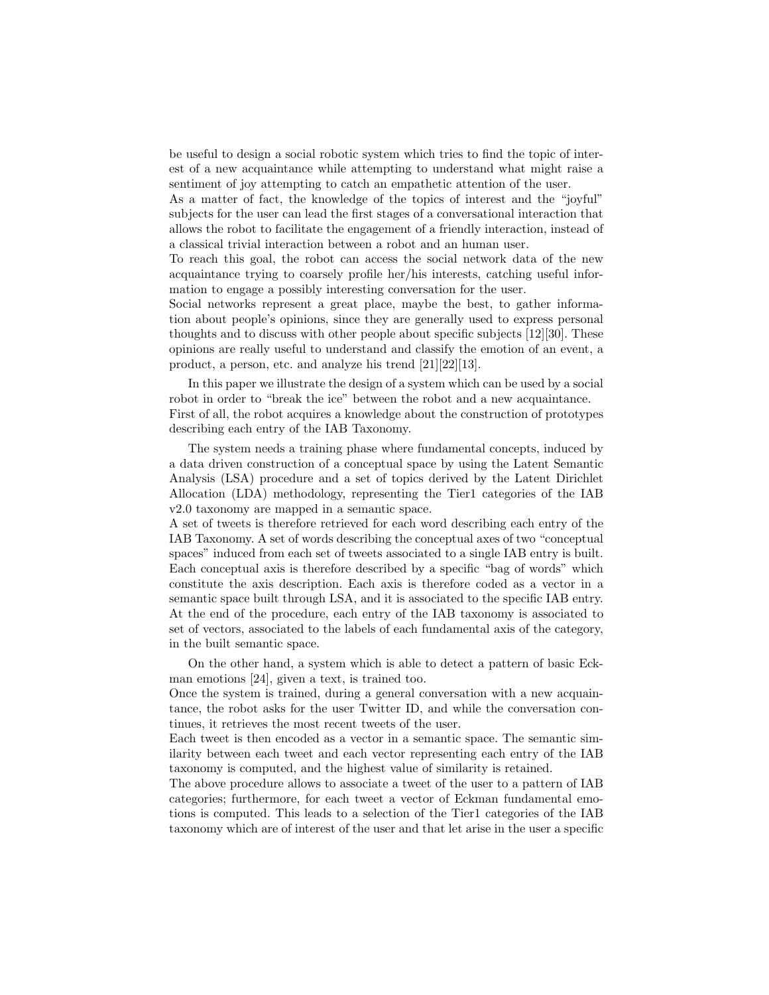be useful to design a social robotic system which tries to find the topic of interest of a new acquaintance while attempting to understand what might raise a sentiment of joy attempting to catch an empathetic attention of the user.

As a matter of fact, the knowledge of the topics of interest and the "joyful" subjects for the user can lead the first stages of a conversational interaction that allows the robot to facilitate the engagement of a friendly interaction, instead of a classical trivial interaction between a robot and an human user.

To reach this goal, the robot can access the social network data of the new acquaintance trying to coarsely profile her/his interests, catching useful information to engage a possibly interesting conversation for the user.

Social networks represent a great place, maybe the best, to gather information about people's opinions, since they are generally used to express personal thoughts and to discuss with other people about specific subjects [12][30]. These opinions are really useful to understand and classify the emotion of an event, a product, a person, etc. and analyze his trend [21][22][13].

In this paper we illustrate the design of a system which can be used by a social robot in order to "break the ice" between the robot and a new acquaintance. First of all, the robot acquires a knowledge about the construction of prototypes describing each entry of the IAB Taxonomy.

The system needs a training phase where fundamental concepts, induced by a data driven construction of a conceptual space by using the Latent Semantic Analysis (LSA) procedure and a set of topics derived by the Latent Dirichlet Allocation (LDA) methodology, representing the Tier1 categories of the IAB v2.0 taxonomy are mapped in a semantic space.

A set of tweets is therefore retrieved for each word describing each entry of the IAB Taxonomy. A set of words describing the conceptual axes of two "conceptual spaces" induced from each set of tweets associated to a single IAB entry is built. Each conceptual axis is therefore described by a specific "bag of words" which constitute the axis description. Each axis is therefore coded as a vector in a semantic space built through LSA, and it is associated to the specific IAB entry. At the end of the procedure, each entry of the IAB taxonomy is associated to set of vectors, associated to the labels of each fundamental axis of the category, in the built semantic space.

On the other hand, a system which is able to detect a pattern of basic Eckman emotions [24], given a text, is trained too.

Once the system is trained, during a general conversation with a new acquaintance, the robot asks for the user Twitter ID, and while the conversation continues, it retrieves the most recent tweets of the user.

Each tweet is then encoded as a vector in a semantic space. The semantic similarity between each tweet and each vector representing each entry of the IAB taxonomy is computed, and the highest value of similarity is retained.

The above procedure allows to associate a tweet of the user to a pattern of IAB categories; furthermore, for each tweet a vector of Eckman fundamental emotions is computed. This leads to a selection of the Tier1 categories of the IAB taxonomy which are of interest of the user and that let arise in the user a specific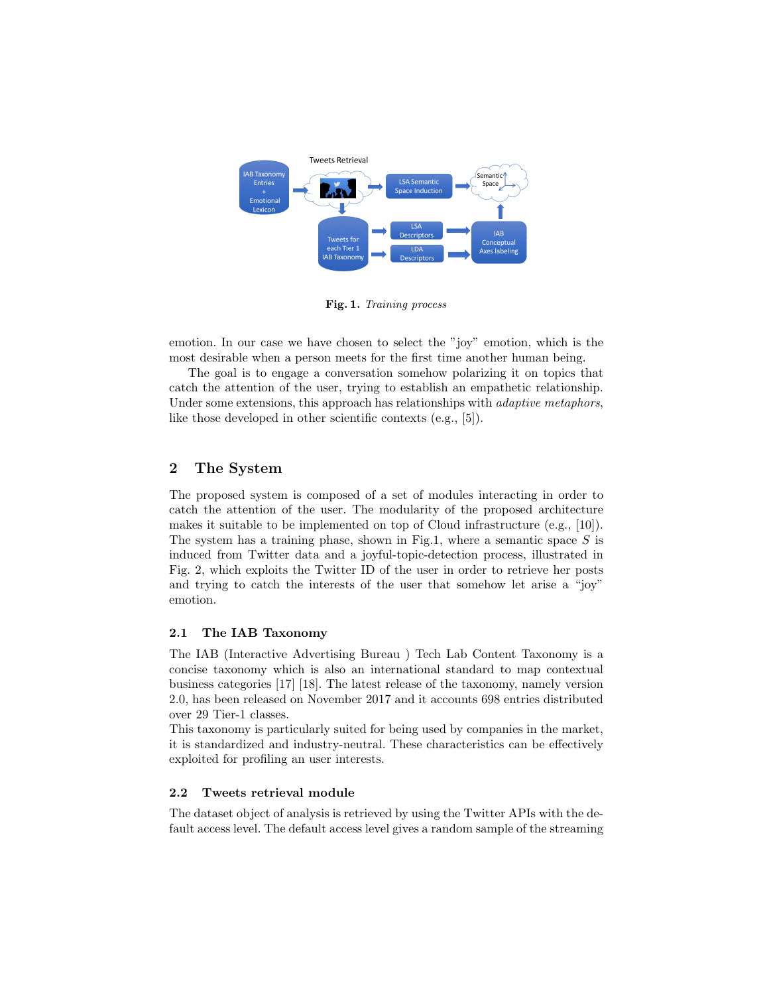

Fig. 1. Training process

emotion. In our case we have chosen to select the "joy" emotion, which is the most desirable when a person meets for the first time another human being.

The goal is to engage a conversation somehow polarizing it on topics that catch the attention of the user, trying to establish an empathetic relationship. Under some extensions, this approach has relationships with *adaptive metaphors*, like those developed in other scientific contexts (e.g., [5]).

# 2 The System

The proposed system is composed of a set of modules interacting in order to catch the attention of the user. The modularity of the proposed architecture makes it suitable to be implemented on top of Cloud infrastructure (e.g., [10]). The system has a training phase, shown in Fig.1, where a semantic space  $S$  is induced from Twitter data and a joyful-topic-detection process, illustrated in Fig. 2, which exploits the Twitter ID of the user in order to retrieve her posts and trying to catch the interests of the user that somehow let arise a "joy" emotion.

## 2.1 The IAB Taxonomy

The IAB (Interactive Advertising Bureau ) Tech Lab Content Taxonomy is a concise taxonomy which is also an international standard to map contextual business categories [17] [18]. The latest release of the taxonomy, namely version 2.0, has been released on November 2017 and it accounts 698 entries distributed over 29 Tier-1 classes.

This taxonomy is particularly suited for being used by companies in the market, it is standardized and industry-neutral. These characteristics can be effectively exploited for profiling an user interests.

#### 2.2 Tweets retrieval module

The dataset object of analysis is retrieved by using the Twitter APIs with the default access level. The default access level gives a random sample of the streaming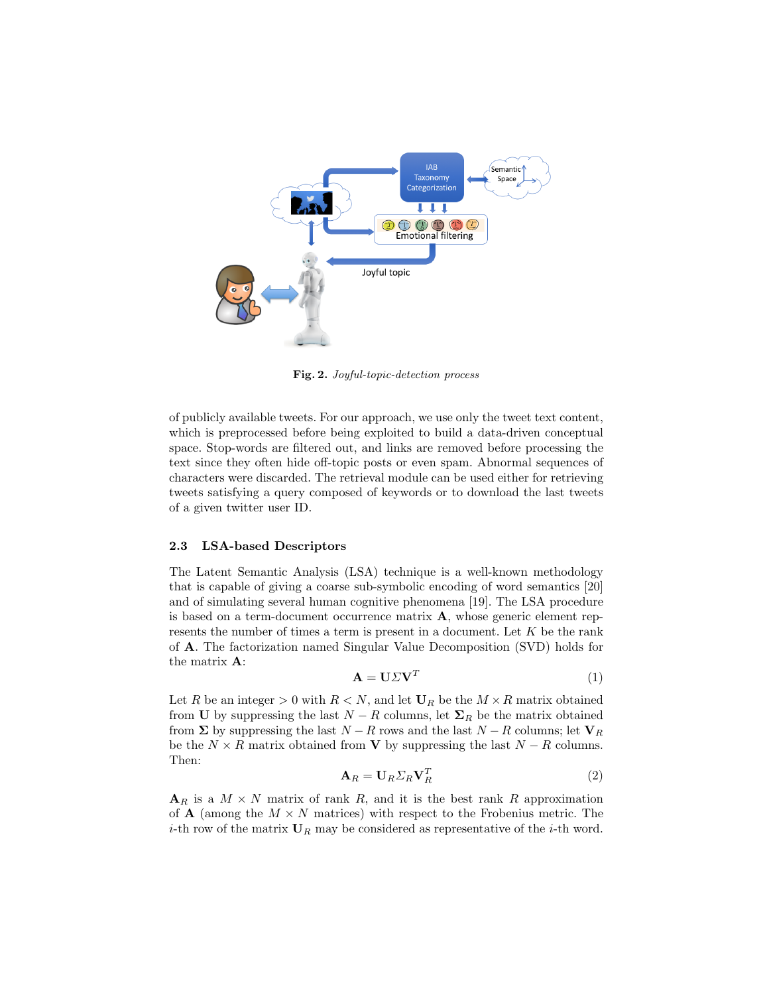

Fig. 2. Joyful-topic-detection process

of publicly available tweets. For our approach, we use only the tweet text content, which is preprocessed before being exploited to build a data-driven conceptual space. Stop-words are filtered out, and links are removed before processing the text since they often hide off-topic posts or even spam. Abnormal sequences of characters were discarded. The retrieval module can be used either for retrieving tweets satisfying a query composed of keywords or to download the last tweets of a given twitter user ID.

### 2.3 LSA-based Descriptors

The Latent Semantic Analysis (LSA) technique is a well-known methodology that is capable of giving a coarse sub-symbolic encoding of word semantics [20] and of simulating several human cognitive phenomena [19]. The LSA procedure is based on a term-document occurrence matrix  $\bf{A}$ , whose generic element represents the number of times a term is present in a document. Let  $K$  be the rank of A. The factorization named Singular Value Decomposition (SVD) holds for the matrix A:

$$
\mathbf{A} = \mathbf{U} \Sigma \mathbf{V}^T \tag{1}
$$

Let R be an integer  $> 0$  with  $R < N$ , and let  $U_R$  be the  $M \times R$  matrix obtained from U by suppressing the last  $N - R$  columns, let  $\Sigma_R$  be the matrix obtained from  $\Sigma$  by suppressing the last  $N - R$  rows and the last  $N - R$  columns; let  $V_R$ be the  $N \times R$  matrix obtained from **V** by suppressing the last  $N - R$  columns. Then:

$$
\mathbf{A}_R = \mathbf{U}_R \Sigma_R \mathbf{V}_R^T \tag{2}
$$

 $\mathbf{A}_R$  is a  $M \times N$  matrix of rank R, and it is the best rank R approximation of **A** (among the  $M \times N$  matrices) with respect to the Frobenius metric. The *i*-th row of the matrix  $U_R$  may be considered as representative of the *i*-th word.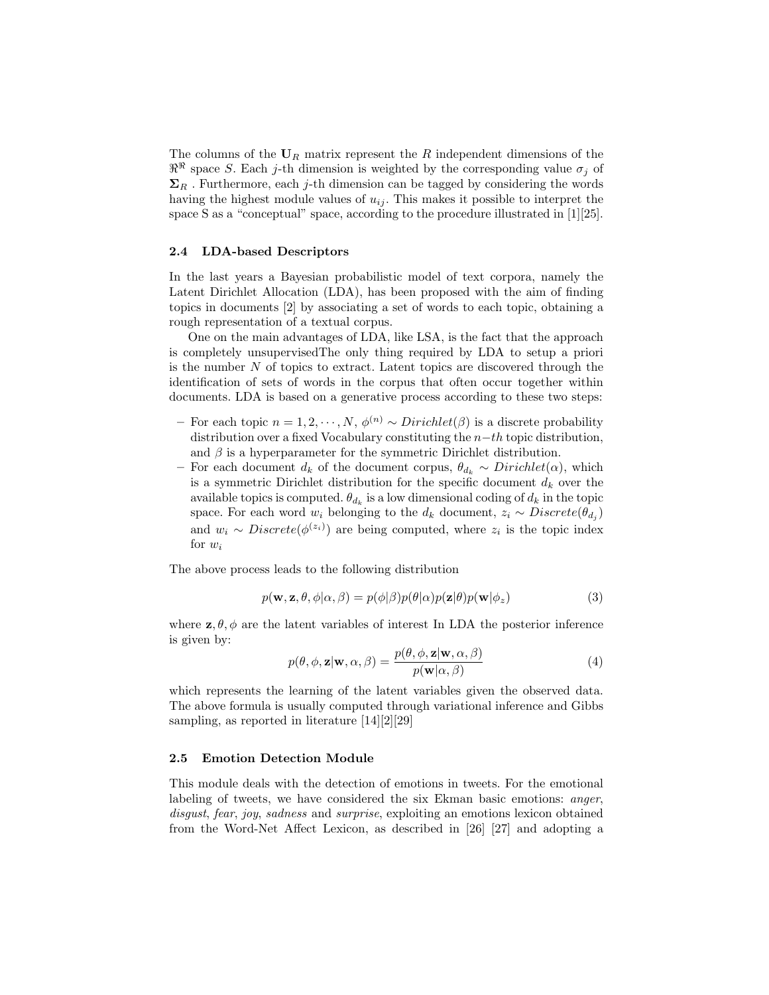The columns of the  $U_R$  matrix represent the R independent dimensions of the  $\mathbb{R}^{\mathcal{R}}$  space S. Each j-th dimension is weighted by the corresponding value  $\sigma_j$  of  $\Sigma_R$ . Furthermore, each j-th dimension can be tagged by considering the words having the highest module values of  $u_{ij}$ . This makes it possible to interpret the space S as a "conceptual" space, according to the procedure illustrated in [1][25].

### 2.4 LDA-based Descriptors

In the last years a Bayesian probabilistic model of text corpora, namely the Latent Dirichlet Allocation (LDA), has been proposed with the aim of finding topics in documents [2] by associating a set of words to each topic, obtaining a rough representation of a textual corpus.

One on the main advantages of LDA, like LSA, is the fact that the approach is completely unsupervisedThe only thing required by LDA to setup a priori is the number  $N$  of topics to extract. Latent topics are discovered through the identification of sets of words in the corpus that often occur together within documents. LDA is based on a generative process according to these two steps:

- − For each topic  $n = 1, 2, \dots, N$ ,  $\phi^{(n)} \sim Dirichlet(\beta)$  is a discrete probability distribution over a fixed Vocabulary constituting the n−th topic distribution, and  $\beta$  is a hyperparameter for the symmetric Dirichlet distribution.
- For each document  $d_k$  of the document corpus,  $\theta_{d_k} \sim Dirichlet(\alpha)$ , which is a symmetric Dirichlet distribution for the specific document  $d_k$  over the available topics is computed.  $\theta_{d_k}$  is a low dimensional coding of  $d_k$  in the topic space. For each word  $w_i$  belonging to the  $d_k$  document,  $z_i \sim Discrete(\theta_{d_j})$ and  $w_i \sim Discrete(\phi^{(z_i)})$  are being computed, where  $z_i$  is the topic index for  $w_i$

The above process leads to the following distribution

$$
p(\mathbf{w}, \mathbf{z}, \theta, \phi | \alpha, \beta) = p(\phi | \beta) p(\theta | \alpha) p(\mathbf{z} | \theta) p(\mathbf{w} | \phi_z)
$$
(3)

where  $\mathbf{z}, \theta, \phi$  are the latent variables of interest In LDA the posterior inference is given by:

$$
p(\theta, \phi, \mathbf{z} | \mathbf{w}, \alpha, \beta) = \frac{p(\theta, \phi, \mathbf{z} | \mathbf{w}, \alpha, \beta)}{p(\mathbf{w} | \alpha, \beta)}
$$
(4)

which represents the learning of the latent variables given the observed data. The above formula is usually computed through variational inference and Gibbs sampling, as reported in literature [14][2][29]

#### 2.5 Emotion Detection Module

This module deals with the detection of emotions in tweets. For the emotional labeling of tweets, we have considered the six Ekman basic emotions: anger, disgust, fear, joy, sadness and surprise, exploiting an emotions lexicon obtained from the Word-Net Affect Lexicon, as described in [26] [27] and adopting a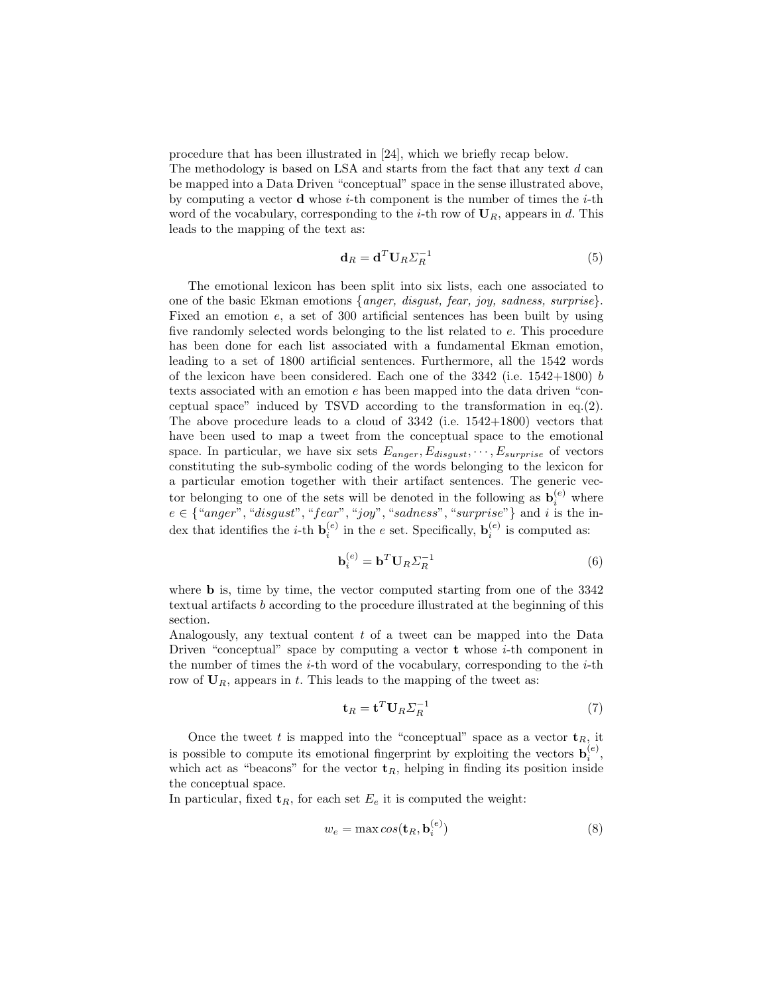procedure that has been illustrated in [24], which we briefly recap below.

The methodology is based on LSA and starts from the fact that any text  $d$  can be mapped into a Data Driven "conceptual" space in the sense illustrated above, by computing a vector  $d$  whose  $i$ -th component is the number of times the  $i$ -th word of the vocabulary, corresponding to the *i*-th row of  $U_R$ , appears in d. This leads to the mapping of the text as:

$$
\mathbf{d}_R = \mathbf{d}^T \mathbf{U}_R \Sigma_R^{-1} \tag{5}
$$

The emotional lexicon has been split into six lists, each one associated to one of the basic Ekman emotions  $\{anger, \; disgust, \; fear, \; joy, \; sadness, \; surprise\}.$ Fixed an emotion e, a set of 300 artificial sentences has been built by using five randomly selected words belonging to the list related to e. This procedure has been done for each list associated with a fundamental Ekman emotion, leading to a set of 1800 artificial sentences. Furthermore, all the 1542 words of the lexicon have been considered. Each one of the  $3342$  (i.e.  $1542+1800$ ) b texts associated with an emotion e has been mapped into the data driven "conceptual space" induced by TSVD according to the transformation in eq.(2). The above procedure leads to a cloud of  $3342$  (i.e.  $1542+1800$ ) vectors that have been used to map a tweet from the conceptual space to the emotional space. In particular, we have six sets  $E_{anger}, E_{disgust}, \cdots, E_{surprise}$  of vectors constituting the sub-symbolic coding of the words belonging to the lexicon for a particular emotion together with their artifact sentences. The generic vector belonging to one of the sets will be denoted in the following as  $\mathbf{b}_i^{(e)}$  where  $e \in \{``anger", ``disgust", ``fear", "joy", "sadness", "surprise"\}$  and i is the index that identifies the *i*-th  $\mathbf{b}_i^{(e)}$  in the *e* set. Specifically,  $\mathbf{b}_i^{(e)}$  is computed as:

$$
\mathbf{b}_i^{(e)} = \mathbf{b}^T \mathbf{U}_R \Sigma_R^{-1} \tag{6}
$$

where **b** is, time by time, the vector computed starting from one of the 3342 textual artifacts b according to the procedure illustrated at the beginning of this section.

Analogously, any textual content  $t$  of a tweet can be mapped into the Data Driven "conceptual" space by computing a vector  $t$  whose  $i$ -th component in the number of times the *i*-th word of the vocabulary, corresponding to the *i*-th row of  $U_R$ , appears in t. This leads to the mapping of the tweet as:

$$
\mathbf{t}_R = \mathbf{t}^T \mathbf{U}_R \Sigma_R^{-1} \tag{7}
$$

Once the tweet t is mapped into the "conceptual" space as a vector  $\mathbf{t}_R$ , it is possible to compute its emotional fingerprint by exploiting the vectors  $\mathbf{b}_i^{(e)}$ , which act as "beacons" for the vector  $t_R$ , helping in finding its position inside the conceptual space.

In particular, fixed  $\mathbf{t}_R$ , for each set  $E_e$  it is computed the weight:

$$
w_e = \max \cos(\mathbf{t}_R, \mathbf{b}_i^{(e)})
$$
\n(8)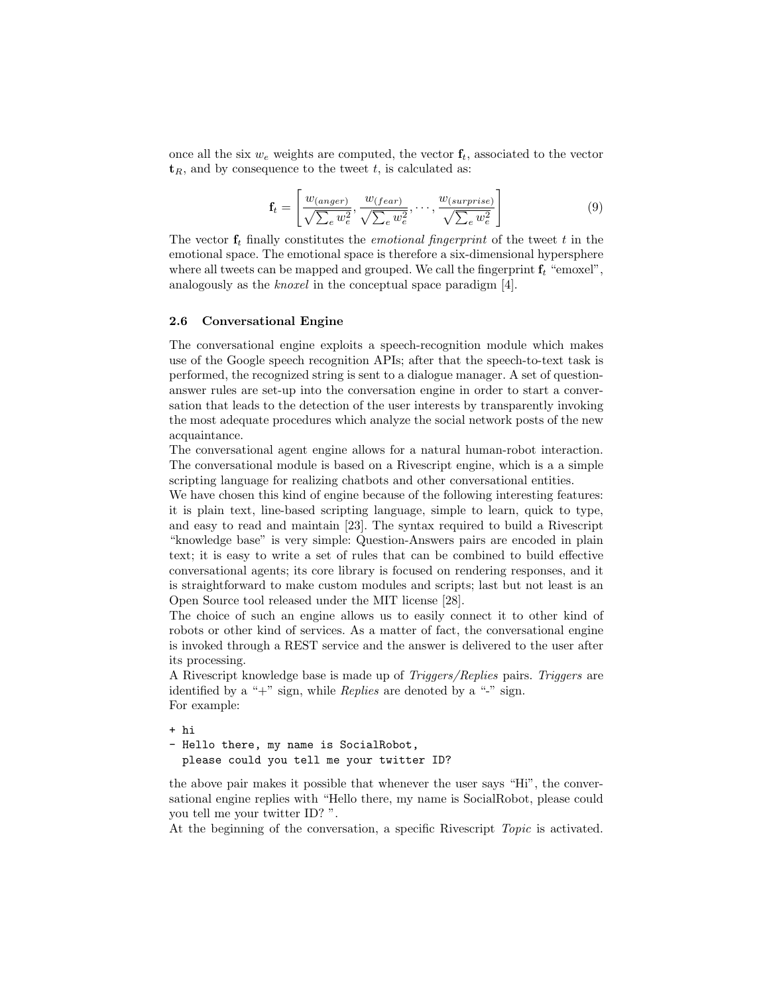once all the six  $w_e$  weights are computed, the vector  $f_t$ , associated to the vector  $\mathbf{t}_R$ , and by consequence to the tweet t, is calculated as:

$$
\mathbf{f}_t = \left[ \frac{w_{(anger)}}{\sqrt{\sum_e w_e^2}}, \frac{w_{(fear)}}{\sqrt{\sum_e w_e^2}}, \cdots, \frac{w_{(surprise)}}{\sqrt{\sum_e w_e^2}} \right]
$$
(9)

The vector  $f_t$  finally constitutes the *emotional fingerprint* of the tweet t in the emotional space. The emotional space is therefore a six-dimensional hypersphere where all tweets can be mapped and grouped. We call the fingerprint  $f_t$  "emoxel", analogously as the knoxel in the conceptual space paradigm [4].

#### 2.6 Conversational Engine

The conversational engine exploits a speech-recognition module which makes use of the Google speech recognition APIs; after that the speech-to-text task is performed, the recognized string is sent to a dialogue manager. A set of questionanswer rules are set-up into the conversation engine in order to start a conversation that leads to the detection of the user interests by transparently invoking the most adequate procedures which analyze the social network posts of the new acquaintance.

The conversational agent engine allows for a natural human-robot interaction. The conversational module is based on a Rivescript engine, which is a a simple scripting language for realizing chatbots and other conversational entities.

We have chosen this kind of engine because of the following interesting features: it is plain text, line-based scripting language, simple to learn, quick to type, and easy to read and maintain [23]. The syntax required to build a Rivescript "knowledge base" is very simple: Question-Answers pairs are encoded in plain text; it is easy to write a set of rules that can be combined to build effective conversational agents; its core library is focused on rendering responses, and it is straightforward to make custom modules and scripts; last but not least is an Open Source tool released under the MIT license [28].

The choice of such an engine allows us to easily connect it to other kind of robots or other kind of services. As a matter of fact, the conversational engine is invoked through a REST service and the answer is delivered to the user after its processing.

A Rivescript knowledge base is made up of Triggers/Replies pairs. Triggers are identified by a "+" sign, while *Replies* are denoted by a "-" sign. For example:

+ hi - Hello there, my name is SocialRobot, please could you tell me your twitter ID?

the above pair makes it possible that whenever the user says "Hi", the conversational engine replies with "Hello there, my name is SocialRobot, please could you tell me your twitter ID? ".

At the beginning of the conversation, a specific Rivescript Topic is activated.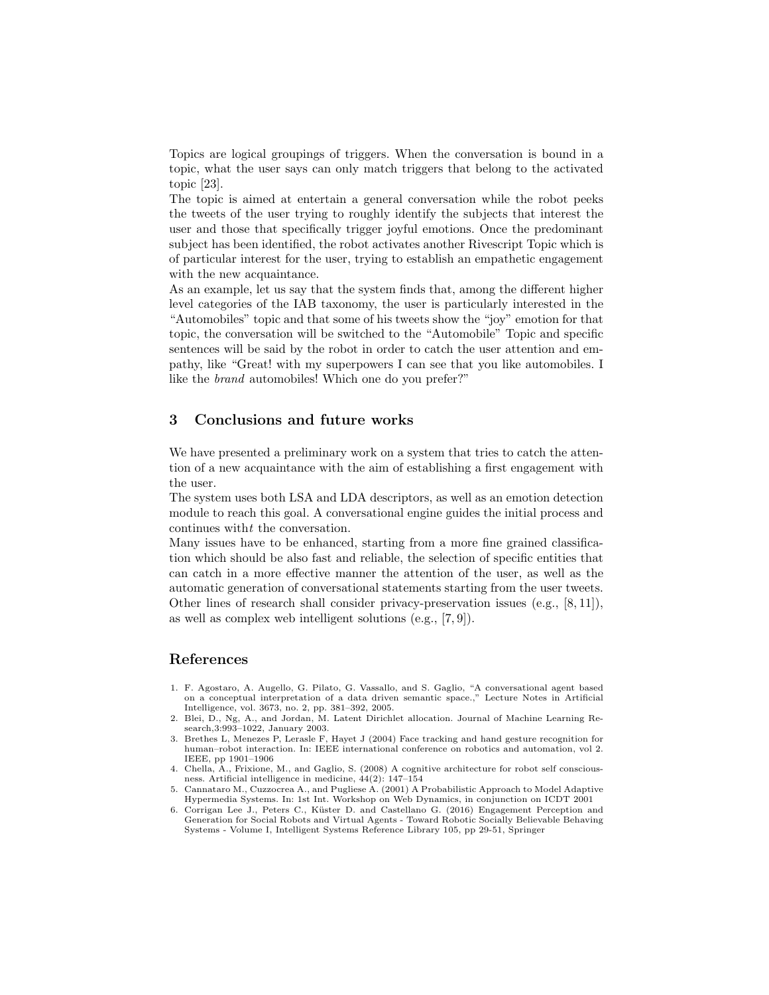Topics are logical groupings of triggers. When the conversation is bound in a topic, what the user says can only match triggers that belong to the activated topic [23].

The topic is aimed at entertain a general conversation while the robot peeks the tweets of the user trying to roughly identify the subjects that interest the user and those that specifically trigger joyful emotions. Once the predominant subject has been identified, the robot activates another Rivescript Topic which is of particular interest for the user, trying to establish an empathetic engagement with the new acquaintance.

As an example, let us say that the system finds that, among the different higher level categories of the IAB taxonomy, the user is particularly interested in the "Automobiles" topic and that some of his tweets show the "joy" emotion for that topic, the conversation will be switched to the "Automobile" Topic and specific sentences will be said by the robot in order to catch the user attention and empathy, like "Great! with my superpowers I can see that you like automobiles. I like the brand automobiles! Which one do you prefer?"

## 3 Conclusions and future works

We have presented a preliminary work on a system that tries to catch the attention of a new acquaintance with the aim of establishing a first engagement with the user.

The system uses both LSA and LDA descriptors, as well as an emotion detection module to reach this goal. A conversational engine guides the initial process and continues witht the conversation.

Many issues have to be enhanced, starting from a more fine grained classification which should be also fast and reliable, the selection of specific entities that can catch in a more effective manner the attention of the user, as well as the automatic generation of conversational statements starting from the user tweets. Other lines of research shall consider privacy-preservation issues (e.g., [8, 11]), as well as complex web intelligent solutions (e.g., [7, 9]).

## References

- 1. F. Agostaro, A. Augello, G. Pilato, G. Vassallo, and S. Gaglio, "A conversational agent based on a conceptual interpretation of a data driven semantic space.," Lecture Notes in Artificial Intelligence, vol. 3673, no. 2, pp. 381–392, 2005.
- 2. Blei, D., Ng, A., and Jordan, M. Latent Dirichlet allocation. Journal of Machine Learning Research,3:993–1022, January 2003.
- 3. Brethes L, Menezes P, Lerasle F, Hayet J (2004) Face tracking and hand gesture recognition for human–robot interaction. In: IEEE international conference on robotics and automation, vol 2. IEEE, pp 1901–1906
- 4. Chella, A., Frixione, M., and Gaglio, S. (2008) A cognitive architecture for robot self consciousness. Artificial intelligence in medicine, 44(2): 147–154
- 5. Cannataro M., Cuzzocrea A., and Pugliese A. (2001) A Probabilistic Approach to Model Adaptive Hypermedia Systems. In: 1st Int. Workshop on Web Dynamics, in conjunction on ICDT 2001
- 6. Corrigan Lee J., Peters C., Küster D. and Castellano G. (2016) Engagement Perception and Generation for Social Robots and Virtual Agents - Toward Robotic Socially Believable Behaving Systems - Volume I, Intelligent Systems Reference Library 105, pp 29-51, Springer